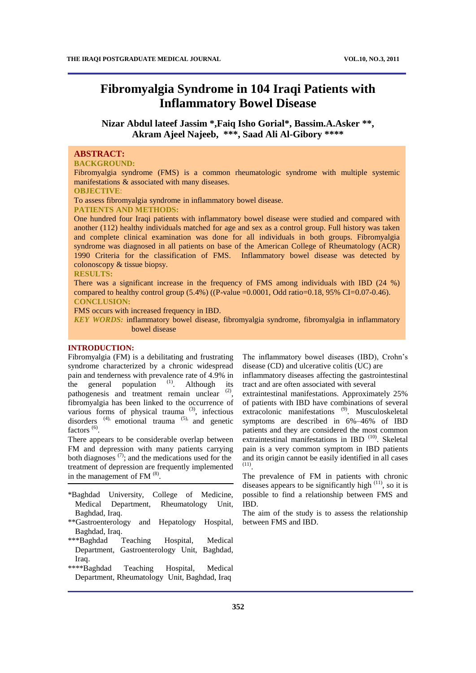# **Fibromyalgia Syndrome in 104 Iraqi Patients with Inflammatory Bowel Disease**

**Nizar Abdul lateef Jassim \*,Faiq Isho Gorial\*, Bassim.A.Asker \*\*, Akram Ajeel Najeeb, \*\*\*, Saad Ali Al-Gibory \*\*\*\***

## **ABSTRACT:**

#### **BACKGROUND:**

Fibromyalgia syndrome (FMS) is a common rheumatologic syndrome with multiple systemic manifestations & associated with many diseases. **OBJECTIVE**:

To assess fibromyalgia syndrome in inflammatory bowel disease.

**PATIENTS AND METHODS:**

One hundred four Iraqi patients with inflammatory bowel disease were studied and compared with another (112) healthy individuals matched for age and sex as a control group. Full history was taken and complete clinical examination was done for all individuals in both groups. Fibromyalgia syndrome was diagnosed in all patients on base of the American College of Rheumatology (ACR) 1990 Criteria for the classification of FMS. Inflammatory bowel disease was detected by colonoscopy & tissue biopsy.

#### **RESULTS:**

There was a significant increase in the frequency of FMS among individuals with IBD (24 %) compared to healthy control group  $(5.4%)$  ((P-value =0.0001, Odd ratio=0.18, 95% CI=0.07-0.46). **CONCLUSION:** 

FMS occurs with increased frequency in IBD.

*KEY WORDS:* inflammatory bowel disease, fibromyalgia syndrome, fibromyalgia in inflammatory bowel disease

## **INTRODUCTION:**

Fibromyalgia (FM) is a debilitating and frustrating syndrome characterized by a chronic widespread pain and tenderness with prevalence rate of 4.9% in the general population  $(1)$ . . Although its pathogenesis and treatment remain unclear <sup>(2)</sup>, fibromyalgia has been linked to the occurrence of various forms of physical trauma  $(3)$ , infectious disorders  $(4)$ , emotional trauma  $(5)$ , and genetic factors<sup>(6)</sup>.

There appears to be considerable overlap between FM and depression with many patients carrying both diagnoses  $(7)$ ; and the medications used for the treatment of depression are frequently implemented in the management of  $FM$ <sup>(8)</sup>.

- \*Baghdad University, College of Medicine, Medical Department, Rheumatology Unit, Baghdad, Iraq.
- \*\*Gastroenterology and Hepatology Hospital, Baghdad, Iraq.
- \*\*\*Baghdad Teaching Hospital, Medical Department, Gastroenterology Unit, Baghdad, Iraq.
- \*\*\*\*Baghdad Teaching Hospital, Medical Department, Rheumatology Unit, Baghdad, Iraq

The inflammatory bowel diseases (IBD), Crohn's disease (CD) and ulcerative colitis (UC) are

inflammatory diseases affecting the gastrointestinal tract and are often associated with several

extraintestinal manifestations. Approximately 25% of patients with IBD have combinations of several extracolonic manifestations<sup>(9)</sup>. Musculoskeletal symptoms are described in 6%–46% of IBD patients and they are considered the most common extraintestinal manifestations in IBD<sup>(10)</sup>. Skeletal pain is a very common symptom in IBD patients and its origin cannot be easily identified in all cases (11) .

The prevalence of FM in patients with chronic diseases appears to be significantly high  $(11)$ , so it is possible to find a relationship between FMS and IBD.

The aim of the study is to assess the relationship between FMS and IBD.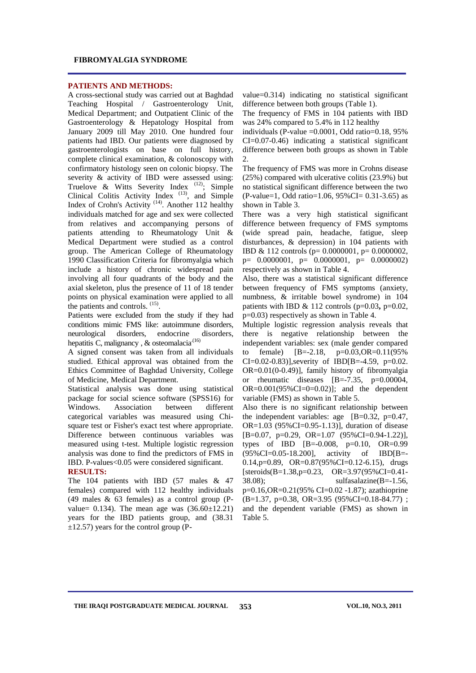#### **FIBROMYALGIA SYNDROME**

#### **PATIENTS AND METHODS:**

A cross-sectional study was carried out at Baghdad Teaching Hospital / Gastroenterology Unit, Medical Department; and Outpatient Clinic of the Gastroenterology & Hepatology Hospital from January 2009 till May 2010. One hundred four patients had IBD. Our patients were diagnosed by gastroenterologists on base on full history, complete clinical examination, & colonoscopy with confirmatory histology seen on colonic biopsy. The severity & activity of IBD were assessed using: Truelove & Witts Severity Index  $(12)$ ; Simple Clinical Colitis Activity Index  $(13)$ , and Simple Index of Crohn's Activity<sup> $(14)$ </sup>. Another 112 healthy individuals matched for age and sex were collected from relatives and accompanying persons of patients attending to Rheumatology Unit & Medical Department were studied as a control group. The American College of Rheumatology 1990 Classification Criteria for fibromyalgia which include a history of chronic widespread pain involving all four quadrants of the body and the axial skeleton, plus the presence of 11 of 18 tender points on physical examination were applied to all the patients and controls. <sup>(15)</sup>.

Patients were excluded from the study if they had conditions mimic FMS like: autoimmune disorders, neurological disorders, endocrine disorders, hepatitis C, malignancy , & osteomalacia<sup>(16)</sup>

A signed consent was taken from all individuals studied. Ethical approval was obtained from the Ethics Committee of Baghdad University, College of Medicine, Medical Department.

Statistical analysis was done using statistical package for social science software (SPSS16) for Windows. Association between different categorical variables was measured using Chisquare test or Fisher's exact test where appropriate. Difference between continuous variables was measured using t-test. Multiple logistic regression analysis was done to find the predictors of FMS in IBD. P-values<0.05 were considered significant. **RESULTS:**

The 104 patients with IBD (57 males & 47 females) compared with 112 healthy individuals (49 males & 63 females) as a control group (Pvalue=  $0.134$ ). The mean age was  $(36.60 \pm 12.21)$ years for the IBD patients group, and (38.31  $\pm$ 12.57) years for the control group (P-

value=0.314) indicating no statistical significant difference between both groups (Table 1).

The frequency of FMS in 104 patients with IBD was 24% compared to 5.4% in 112 healthy

individuals (P-value  $=0.0001$ , Odd ratio $=0.18$ , 95% CI=0.07-0.46) indicating a statistical significant difference between both groups as shown in Table  $\mathcal{D}_{\mathcal{L}}$ 

The frequency of FMS was more in Crohns disease (25%) compared with ulcerative colitis (23.9%) but no statistical significant difference between the two (P-value=1, Odd ratio=1.06, 95%CI= 0.31-3.65) as shown in Table 3.

There was a very high statistical significant difference between frequency of FMS symptoms (wide spread pain, headache, fatigue, sleep disturbances, & depression) in 104 patients with IBD & 112 controls (p= 0.0000001, p= 0.0000002,  $p= 0.0000001$ ,  $p= 0.0000001$ ,  $p= 0.00000002$ respectively as shown in Table 4.

Also, there was a statistical significant difference between frequency of FMS symptoms (anxiety, numbness, & irritable bowel syndrome) in 104 patients with IBD  $\&$  112 controls (p=0.03, p=0.02, p=0.03) respectively as shown in Table 4.

Multiple logistic regression analysis reveals that there is negative relationship between the independent variables: sex (male gender compared to female) [B=-2.18, p=0.03,OR=0.11(95% CI=0.02-0.83)], severity of IBD[B=-4.59, p=0.02. OR=0.01(0-0.49)], family history of fibromyalgia or rheumatic diseases [B=-7.35, p=0.00004, OR= $0.001(95\% CI = 0 = 0.02)$ ]; and the dependent variable (FMS) as shown in Table 5.

Also there is no significant relationship between the independent variables: age [B=0.32, p=0.47, OR=1.03 (95%CI=0.95-1.13)], duration of disease [B=0.07, p=0.29, OR=1.07 (95%CI=0.94-1.22)], types of IBD  $[B=-0.008, p=0.10, OR=0.99]$ (95%CI=0.05-18.200], activity of IBD[B=-  $0.14$ , p=0.89, OR=0.87(95%CI=0.12-6.15), drugs [steroids(B=1.38,p=0.23, OR=3.97(95%CI=0.41-  $38.08$ ; sulfasalazine(B=-1.56, p=0.16,OR=0.21(95% CI=0.02 -1.87); azathioprine (B=1.37, p=0.38, OR=3.95 (95%CI=0.18-84.77) ; and the dependent variable (FMS) as shown in Table 5.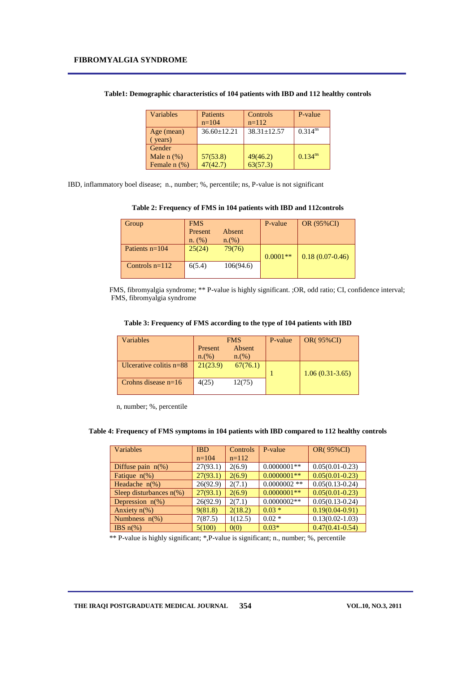| Variables                                      | <b>Patients</b><br>$n=104$ | Controls<br>$n=112$  | P-value               |
|------------------------------------------------|----------------------------|----------------------|-----------------------|
| Age (mean)<br>(years)                          | $36.60 + 12.21$            | $38.31 + 12.57$      | $0.314^{ns}$          |
| Gender<br>Male $n$ $(\%)$<br>Female $n$ $(\%)$ | 57(53.8)<br>47(42.7)       | 49(46.2)<br>63(57.3) | $0.134$ <sup>ns</sup> |

|  | Table1: Demographic characteristics of 104 patients with IBD and 112 healthy controls |  |  |  |  |  |  |
|--|---------------------------------------------------------------------------------------|--|--|--|--|--|--|
|--|---------------------------------------------------------------------------------------|--|--|--|--|--|--|

IBD, inflammatory boel disease; n., number; %, percentile; ns, P-value is not significant

**Table 2: Frequency of FMS in 104 patients with IBD and 112controls**

| Group            | <b>FMS</b> |           | P-value    | <b>OR (95%CI)</b> |
|------------------|------------|-----------|------------|-------------------|
|                  | Present    | Absent    |            |                   |
|                  | n. (%)     | n.(%)     |            |                   |
| Patients $n=104$ | 25(24)     | 79(76)    |            |                   |
|                  |            |           | $0.0001**$ | $0.18(0.07-0.46)$ |
| Controls $n=112$ | 6(5.4)     | 106(94.6) |            |                   |
|                  |            |           |            |                   |

 FMS, fibromyalgia syndrome; \*\* P-value is highly significant. ;OR, odd ratio; CI, confidence interval; FMS, fibromyalgia syndrome

| Table 3: Frequency of FMS according to the type of 104 patients with IBD |  |  |  |  |  |  |  |
|--------------------------------------------------------------------------|--|--|--|--|--|--|--|
|--------------------------------------------------------------------------|--|--|--|--|--|--|--|

| <b>Variables</b>          | <b>FMS</b> |          | P-value | <b>OR(95%CI)</b>  |
|---------------------------|------------|----------|---------|-------------------|
|                           | Present    | Absent   |         |                   |
|                           | n.(%)      | n.(%)    |         |                   |
| Ulcerative colitis $n=88$ | 21(23.9)   | 67(76.1) |         |                   |
|                           |            |          |         | $1.06(0.31-3.65)$ |
| Crohns disease $n=16$     | 4(25)      | 12(75)   |         |                   |
|                           |            |          |         |                   |

n, number; %, percentile

**Table 4: Frequency of FMS symptoms in 104 patients with IBD compared to 112 healthy controls**

| Variables                  | <b>IBD</b> | <b>Controls</b> | P-value        | <b>OR(95%CI)</b>    |
|----------------------------|------------|-----------------|----------------|---------------------|
|                            | $n=104$    | $n=112$         |                |                     |
| Diffuse pain $n(\%)$       | 27(93.1)   | 2(6.9)          | $0.0000001**$  | $0.05(0.01 - 0.23)$ |
| Fatique $n(\%)$            | 27(93.1)   | 2(6.9)          | $0.0000001**$  | $0.05(0.01 - 0.23)$ |
| Headache $n\%$ )           | 26(92.9)   | 2(7.1)          | $0.0000002$ ** | $0.05(0.13-0.24)$   |
| Sleep disturbances $n(\%)$ | 27(93.1)   | 2(6.9)          | $0.0000001**$  | $0.05(0.01 - 0.23)$ |
| Depression $n(\%)$         | 26(92.9)   | 2(7.1)          | $0.0000002**$  | $0.05(0.13-0.24)$   |
| Anxiety $n\frac{6}{6}$     | 9(81.8)    | 2(18.2)         | $0.03*$        | $0.19(0.04 - 0.91)$ |
| Numbness $n$ (%)           | 7(87.5)    | 1(12.5)         | $0.02*$        | $0.13(0.02 - 1.03)$ |
| IBS $n\%$ )                | 5(100)     | 0(0)            | $0.03*$        | $0.47(0.41 - 0.54)$ |

\*\* P-value is highly significant; \*,P-value is significant; n., number; %, percentile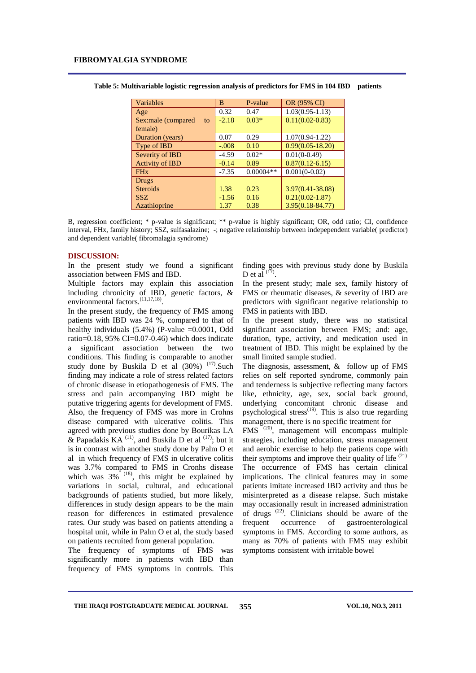| Variables                | B       | P-value     | OR (95% CI)          |
|--------------------------|---------|-------------|----------------------|
| Age                      | 0.32    | 0.47        | $1.03(0.95 - 1.13)$  |
| Sex:male (compared<br>to | $-2.18$ | $0.03*$     | $0.11(0.02 - 0.83)$  |
| female)                  |         |             |                      |
| Duration (years)         | 0.07    | 0.29        | $1.07(0.94-1.22)$    |
| Type of IBD              | $-.008$ | 0.10        | $0.99(0.05 - 18.20)$ |
| Severity of IBD          | $-4.59$ | $0.02*$     | $0.01(0-0.49)$       |
| <b>Activity of IBD</b>   | $-0.14$ | 0.89        | $0.87(0.12 - 6.15)$  |
| <b>FH<sub>x</sub></b>    | $-7.35$ | $0.00004**$ | $0.001(0-0.02)$      |
| Drugs                    |         |             |                      |
| <b>Steroids</b>          | 1.38    | 0.23        | $3.97(0.41 - 38.08)$ |
| <b>SSZ</b>               | $-1.56$ | 0.16        | $0.21(0.02 - 1.87)$  |
| Azathioprine             | 1.37    | 0.38        | $3.95(0.18 - 84.77)$ |

**Table 5: Multivariable logistic regression analysis of predictors for FMS in 104 IBD patients**

B, regression coefficient; \* p-value is significant; \*\* p-value is highly significant; OR, odd ratio; CI, confidence interval, FHx, family history; SSZ, sulfasalazine; -; negative relationship between indepependent variable( predictor) and dependent variable( fibromalagia syndrome)

#### **DISCUSSION:**

In the present study we found a significant association between FMS and IBD.

Multiple factors may explain this association including chronicity of IBD, genetic factors, & environmental factors.<sup>(11,17,18)</sup>.

In the present study, the frequency of FMS among patients with IBD was 24 %, compared to that of healthy individuals  $(5.4\%)$  (P-value =0.0001, Odd ratio= $0.18$ , 95% CI= $0.07$ - $0.46$ ) which does indicate a significant association between the two conditions. This finding is comparable to another study done by [Buskila](http://hinari-gw.who.int/whalecomwww.ncbi.nlm.nih.gov/whalecom0/sites/entrez?Db=pubmed&Cmd=Search&Term=%22Pellegrino%20MJ%22%5BAuthor%5D&itool=EntrezSystem2.PEntrez.Pubmed.Pubmed_ResultsPanel.Pubmed_DiscoveryPanel.Pubmed_RVAbstractPlus) D et al  $(30\%)$ <sup> $(17)$ </sup>. Such finding may indicate a role of stress related factors of chronic disease in etiopathogenesis of FMS. The stress and pain accompanying IBD might be putative triggering agents for development of FMS. Also, the frequency of FMS was more in Crohns disease compared with ulcerative colitis. This agreed with previous studies done by Bourikas LA & Papadakis KA<sup>(11)</sup>, and Buskila D et al<sup>(17)</sup>; but it is in contrast with another study done by Palm O et al in which frequency of FMS in ulcerative colitis was 3.7% compared to FMS in Cronhs disease which was  $3\%$ <sup>(18)</sup>, this might be explained by variations in social, cultural, and educational backgrounds of patients studied, but more likely, differences in study design appears to be the main reason for differences in estimated prevalence rates. Our study was based on patients attending a hospital unit, while in Palm O et al, the study based on patients recruited from general population.

The frequency of symptoms of FMS was significantly more in patients with IBD than frequency of FMS symptoms in controls. This finding goes with previous study done by Buskila D et al  $^{(17)}$ .

In the present study; male sex, family history of FMS or rheumatic diseases, & severity of IBD are predictors with significant negative relationship to FMS in patients with IBD.

In the present study, there was no statistical significant association between FMS; and: age, duration, type, activity, and medication used in treatment of IBD. This might be explained by the small limited sample studied.

The diagnosis, assessment, & follow up of FMS relies on self reported syndrome, commonly pain and tenderness is subjective reflecting many factors like, ethnicity, age, sex, social back ground, underlying concomitant chronic disease and psychological stress<sup> $(19)$ </sup>. This is also true regarding management, there is no specific treatment for

FMS (20), management will encompass multiple strategies, including education, stress management and aerobic exercise to help the patients cope with their symptoms and improve their quality of life  $(21)$ The occurrence of FMS has certain clinical implications. The clinical features may in some patients imitate increased IBD activity and thus be misinterpreted as a disease relapse. Such mistake may occasionally result in increased administration of drugs (22). Clinicians should be aware of the frequent occurrence of gastroenterological symptoms in FMS. According to some authors, as many as 70% of patients with FMS may exhibit symptoms consistent with irritable bowel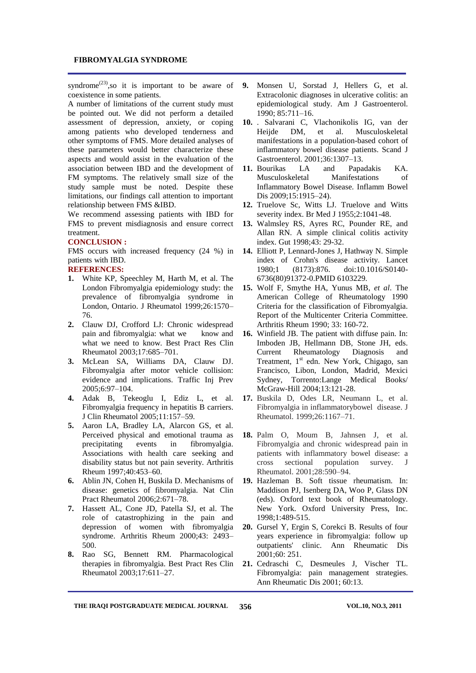#### **FIBROMYALGIA SYNDROME**

syndrome<sup>(23)</sup>, so it is important to be aware of coexistence in some patients.

A number of limitations of the current study must be pointed out. We did not perform a detailed assessment of depression, anxiety, or coping among patients who developed tenderness and other symptoms of FMS. More detailed analyses of these parameters would better characterize these aspects and would assist in the evaluation of the association between IBD and the development of FM symptoms. The relatively small size of the study sample must be noted. Despite these limitations, our findings call attention to important relationship between FMS &IBD.

We recommend assessing patients with IBD for FMS to prevent misdiagnosis and ensure correct treatment.

#### **CONCLUSION :**

FMS occurs with increased frequency (24 %) in patients with IBD.

## **REFERENCES:**

- **1.** White KP, Speechley M, Harth M, et al. The London Fibromyalgia epidemiology study: the prevalence of fibromyalgia syndrome in London, Ontario. J Rheumatol 1999;26:1570– 76.
- **2.** Clauw DJ, Crofford LJ: Chronic widespread pain and fibromyalgia: what we know and what we need to know. Best Pract Res Clin Rheumatol 2003;17:685–701.
- **3.** McLean SA, Williams DA, Clauw DJ. Fibromyalgia after motor vehicle collision: evidence and implications. Traffic Inj Prev 2005;6:97–104.
- **4.** Adak B, Tekeoglu I, Ediz L, et al. Fibromyalgia frequency in hepatitis B carriers. J Clin Rheumatol 2005;11:157–59.
- **5.** Aaron LA, Bradley LA, Alarcon GS, et al. Perceived physical and emotional trauma as precipitating events in fibromyalgia. Associations with health care seeking and disability status but not pain severity. Arthritis Rheum 1997;40:453–60.
- **6.** Ablin JN, Cohen H, Buskila D. Mechanisms of disease: genetics of fibromyalgia. Nat Clin Pract Rheumatol 2006;2:671–78.
- **7.** Hassett AL, Cone JD, Patella SJ, et al. The role of catastrophizing in the pain and depression of women with fibromyalgia syndrome. Arthritis Rheum 2000;43: 2493– 500.
- **8.** Rao SG, Bennett RM. Pharmacological therapies in fibromyalgia. Best Pract Res Clin Rheumatol 2003;17:611–27.
- **9.** Monsen U, Sorstad J, Hellers G, et al. Extracolonic diagnoses in ulcerative colitis: an epidemiological study. Am J Gastroenterol. 1990; 85:711–16.
- **10.** . Salvarani C, Vlachonikolis IG, van der Heijde DM, et al. Musculoskeletal manifestations in a population-based cohort of inflammatory bowel disease patients. Scand J Gastroenterol. 2001;36:1307–13.
- **11.** Bourikas LA and Papadakis KA. Musculoskeletal Manifestations of Inflammatory Bowel Disease. Inflamm Bowel Dis 2009;15:1915–24).
- **12.** Truelove Sc, Witts LJ. Truelove and Witts severity index. Br Med J 1955;2:1041-48.
- **13.** Walmsley RS, Ayres RC, Pounder RE, and Allan RN. A simple clinical colitis activity index. Gut 1998;43: 29-32.
- **14.** Elliott P, Lennard-Jones J, Hathway N. Simple index of Crohn's disease activity. Lancet 1980;1 (8173):876. doi:10.1016/S0140- 6736(80)91372-0.PMID 6103229.
- **15.** Wolf F, Smythe HA, Yunus MB, *et al*. The American College of Rheumatology 1990 Criteria for the classification of Fibromyalgia. Report of the Multicenter Criteria Committee. Arthritis Rheum 1990; 33: 160-72.
- **16.** Winfield JB. The patient with diffuse pain. In: Imboden JB, Hellmann DB, Stone JH, eds. Current Rheumatology Diagnosis and Treatment,  $1<sup>st</sup>$  edn. New York, Chigago, san Francisco, Libon, London, Madrid, Mexici Sydney, Torrento:Lange Medical Books/ McGraw-Hill 2004;13:121-28.
- **17.** Buskila D, Odes LR, Neumann L, et al. Fibromyalgia in inflammatorybowel disease. J Rheumatol. 1999;26:1167–71.
- **18.** Palm O, Moum B, Jahnsen J, et al. Fibromyalgia and chronic widespread pain in patients with inflammatory bowel disease: a cross sectional population survey. J Rheumatol. 2001;28:590–94.
- **19.** Hazleman B. Soft tissue rheumatism. In: Maddison PJ, Isenberg DA, Woo P, Glass DN (eds). Oxford text book of Rheumatology. New York. Oxford University Press, Inc. 1998;1:489-515.
- **20.** Gursel Y, Ergin S, Corekci B. Results of four years experience in fibromyalgia: follow up outpatients' clinic. Ann Rheumatic Dis 2001;60: 251.
- **21.** Cedraschi C, Desmeules J, Vischer TL. Fibromyalgia: pain management strategies. Ann Rheumatic Dis 2001; 60:13.

THE IRAQI POSTGRADUATE MEDICAL JOURNAL 356 VOL.10, NO.3, 2011 **356**